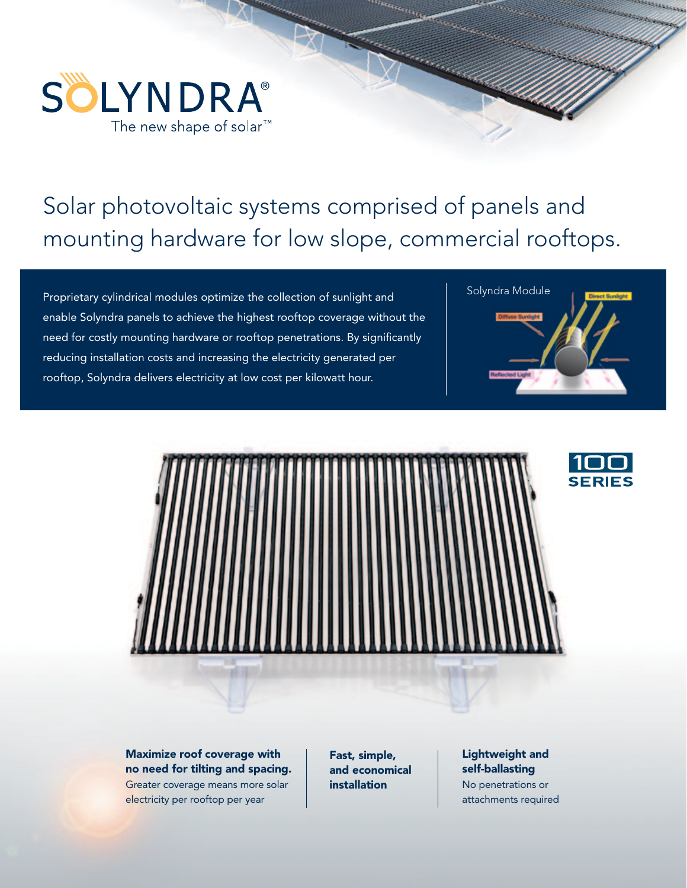

## Solar photovoltaic systems comprised of panels and mounting hardware for low slope, commercial rooftops.

Proprietary cylindrical modules optimize the collection of sunlight and **Solyndra Module** enable Solyndra panels to achieve the highest rooftop coverage without the need for costly mounting hardware or rooftop penetrations. By significantly reducing installation costs and increasing the electricity generated per rooftop, Solyndra delivers electricity at low cost per kilowatt hour.





Maximize roof coverage with no need for tilting and spacing. Greater coverage means more solar electricity per rooftop per year

Fast, simple, and economical installation

## Lightweight and self-ballasting

No penetrations or attachments required